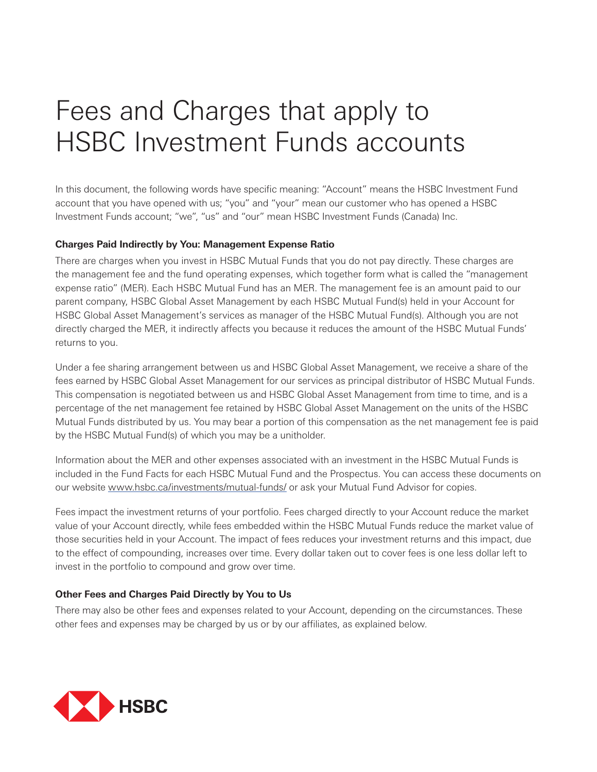## Fees and Charges that apply to HSBC Investment Funds accounts

In this document, the following words have specific meaning: "Account" means the HSBC Investment Fund account that you have opened with us; "you" and "your" mean our customer who has opened a HSBC Investment Funds account; "we", "us" and "our" mean HSBC Investment Funds (Canada) Inc.

## **Charges Paid Indirectly by You: Management Expense Ratio**

There are charges when you invest in HSBC Mutual Funds that you do not pay directly. These charges are the management fee and the fund operating expenses, which together form what is called the "management expense ratio" (MER). Each HSBC Mutual Fund has an MER. The management fee is an amount paid to our parent company, HSBC Global Asset Management by each HSBC Mutual Fund(s) held in your Account for HSBC Global Asset Management's services as manager of the HSBC Mutual Fund(s). Although you are not directly charged the MER, it indirectly affects you because it reduces the amount of the HSBC Mutual Funds' returns to you.

Under a fee sharing arrangement between us and HSBC Global Asset Management, we receive a share of the fees earned by HSBC Global Asset Management for our services as principal distributor of HSBC Mutual Funds. This compensation is negotiated between us and HSBC Global Asset Management from time to time, and is a percentage of the net management fee retained by HSBC Global Asset Management on the units of the HSBC Mutual Funds distributed by us. You may bear a portion of this compensation as the net management fee is paid by the HSBC Mutual Fund(s) of which you may be a unitholder.

Information about the MER and other expenses associated with an investment in the HSBC Mutual Funds is included in the Fund Facts for each HSBC Mutual Fund and the Prospectus. You can access these documents on our website www.hsbc.ca/investments/mutual-funds/ or ask your Mutual Fund Advisor for copies.

Fees impact the investment returns of your portfolio. Fees charged directly to your Account reduce the market value of your Account directly, while fees embedded within the HSBC Mutual Funds reduce the market value of those securities held in your Account. The impact of fees reduces your investment returns and this impact, due to the effect of compounding, increases over time. Every dollar taken out to cover fees is one less dollar left to invest in the portfolio to compound and grow over time.

## **Other Fees and Charges Paid Directly by You to Us**

There may also be other fees and expenses related to your Account, depending on the circumstances. These other fees and expenses may be charged by us or by our affiliates, as explained below.